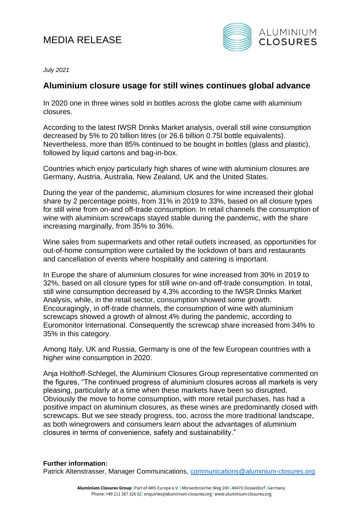## MEDIA RELEASE



*July 2021*

## **Aluminium closure usage for still wines continues global advance**

In 2020 one in three wines sold in bottles across the globe came with aluminium closures.

According to the latest IWSR Drinks Market analysis, overall still wine consumption decreased by 5% to 20 billion litres (or 26.6 billion 0.75l bottle equivalents). Nevertheless, more than 85% continued to be bought in bottles (glass and plastic), followed by liquid cartons and bag-in-box.

Countries which enjoy particularly high shares of wine with aluminium closures are Germany, Austria, Australia, New Zealand, UK and the United States.

During the year of the pandemic, aluminium closures for wine increased their global share by 2 percentage points, from 31% in 2019 to 33%, based on all closure types for still wine from on-and off-trade consumption. In retail channels the consumption of wine with aluminium screwcaps stayed stable during the pandemic, with the share increasing marginally, from 35% to 36%.

Wine sales from supermarkets and other retail outlets increased, as opportunities for out-of-home consumption were curtailed by the lockdown of bars and restaurants and cancellation of events where hospitality and catering is important.

In Europe the share of aluminium closures for wine increased from 30% in 2019 to 32%, based on all closure types for still wine on-and off-trade consumption. In total, still wine consumption decreased by 4,3% according to the IWSR Drinks Market Analysis, while, in the retail sector, consumption showed some growth. Encouragingly, in off-trade channels, the consumption of wine with aluminium screwcaps showed a growth of almost 4% during the pandemic, according to Euromonitor International. Consequently the screwcap share increased from 34% to 35% in this category.

Among Italy, UK and Russia, Germany is one of the few European countries with a higher wine consumption in 2020.

Anja Holthoff-Schlegel, the Aluminium Closures Group representative commented on the figures, "The continued progress of aluminium closures across all markets is very pleasing, particularly at a time when these markets have been so disrupted. Obviously the move to home consumption, with more retail purchases, has had a positive impact on aluminium closures, as these wines are predominantly closed with screwcaps. But we see steady progress, too, across the more traditional landscape, as both winegrowers and consumers learn about the advantages of aluminium closures in terms of convenience, safety and sustainability."

## **Further information:**

Patrick Altenstrasser, Manager Communications, [communications@aluminium-closures.org](mailto:communications@aluminium-closures.org)